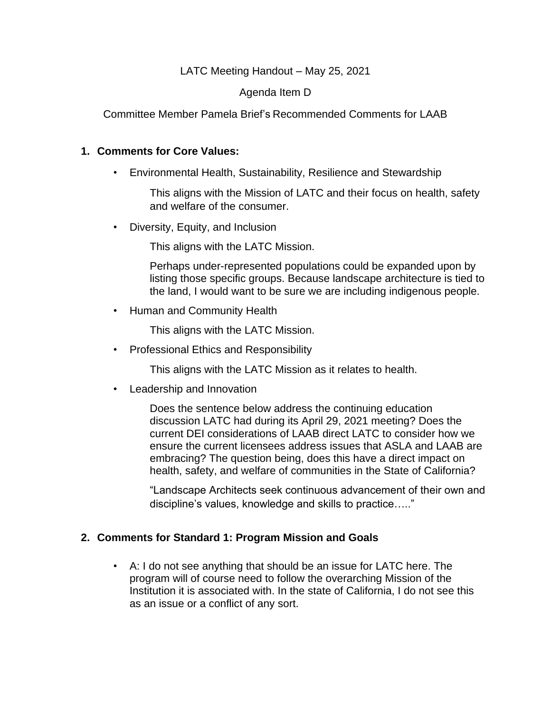# LATC Meeting Handout – May 25, 2021

# Agenda Item D

Committee Member Pamela Brief's Recommended Comments for LAAB

#### **1. Comments for Core Values:**

• Environmental Health, Sustainability, Resilience and Stewardship

This aligns with the Mission of LATC and their focus on health, safety and welfare of the consumer.

• Diversity, Equity, and Inclusion

This aligns with the LATC Mission.

Perhaps under-represented populations could be expanded upon by listing those specific groups. Because landscape architecture is tied to the land, I would want to be sure we are including indigenous people.

• Human and Community Health

This aligns with the LATC Mission.

• Professional Ethics and Responsibility

This aligns with the LATC Mission as it relates to health.

• Leadership and Innovation

Does the sentence below address the continuing education discussion LATC had during its April 29, 2021 meeting? Does the current DEI considerations of LAAB direct LATC to consider how we ensure the current licensees address issues that ASLA and LAAB are embracing? The question being, does this have a direct impact on health, safety, and welfare of communities in the State of California?

"Landscape Architects seek continuous advancement of their own and discipline's values, knowledge and skills to practice….."

# **2. Comments for Standard 1: Program Mission and Goals**

• A: I do not see anything that should be an issue for LATC here. The program will of course need to follow the overarching Mission of the Institution it is associated with. In the state of California, I do not see this as an issue or a conflict of any sort.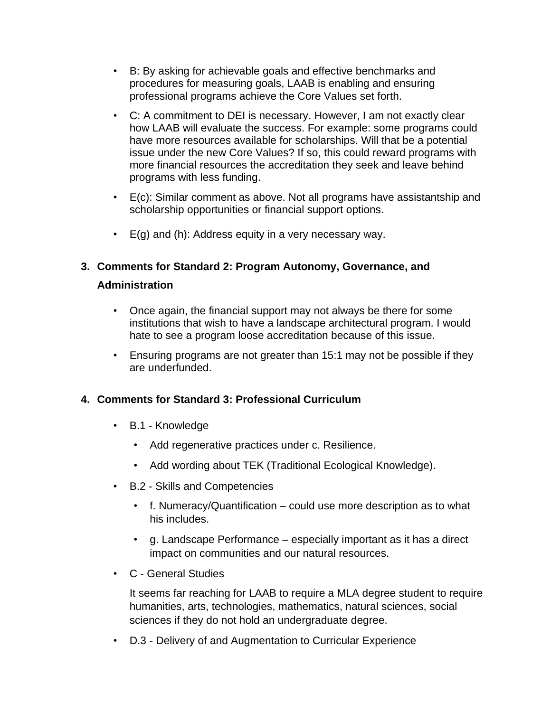- B: By asking for achievable goals and effective benchmarks and procedures for measuring goals, LAAB is enabling and ensuring professional programs achieve the Core Values set forth.
- C: A commitment to DEI is necessary. However, I am not exactly clear how LAAB will evaluate the success. For example: some programs could have more resources available for scholarships. Will that be a potential issue under the new Core Values? If so, this could reward programs with more financial resources the accreditation they seek and leave behind programs with less funding.
- E(c): Similar comment as above. Not all programs have assistantship and scholarship opportunities or financial support options.
- $\cdot$  E(g) and (h): Address equity in a very necessary way.

# **3. Comments for Standard 2: Program Autonomy, Governance, and Administration**

- Once again, the financial support may not always be there for some institutions that wish to have a landscape architectural program. I would hate to see a program loose accreditation because of this issue.
- Ensuring programs are not greater than 15:1 may not be possible if they are underfunded.

# **4. Comments for Standard 3: Professional Curriculum**

- B.1 Knowledge
	- Add regenerative practices under c. Resilience.
	- Add wording about TEK (Traditional Ecological Knowledge).
- B.2 Skills and Competencies
	- f. Numeracy/Quantification could use more description as to what his includes.
	- g. Landscape Performance especially important as it has a direct impact on communities and our natural resources.
- C General Studies

It seems far reaching for LAAB to require a MLA degree student to require humanities, arts, technologies, mathematics, natural sciences, social sciences if they do not hold an undergraduate degree.

• D.3 - Delivery of and Augmentation to Curricular Experience